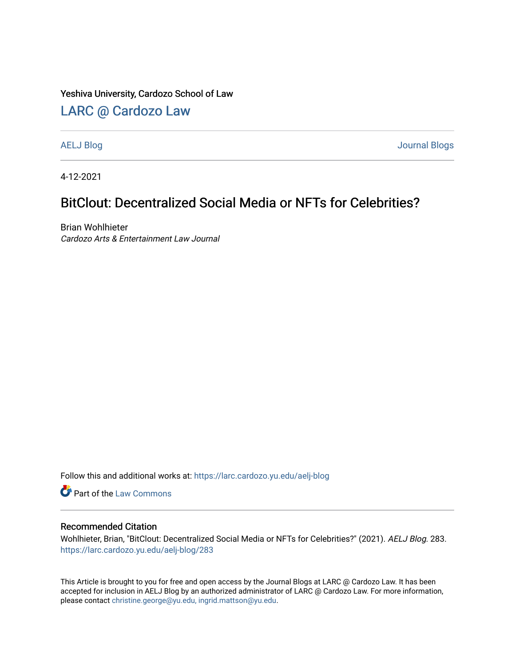#### Yeshiva University, Cardozo School of Law

## [LARC @ Cardozo Law](https://larc.cardozo.yu.edu/)

[AELJ Blog](https://larc.cardozo.yu.edu/aelj-blog) [Journal Blogs](https://larc.cardozo.yu.edu/journal-blogs) 

4-12-2021

## BitClout: Decentralized Social Media or NFTs for Celebrities?

Brian Wohlhieter Cardozo Arts & Entertainment Law Journal

Follow this and additional works at: [https://larc.cardozo.yu.edu/aelj-blog](https://larc.cardozo.yu.edu/aelj-blog?utm_source=larc.cardozo.yu.edu%2Faelj-blog%2F283&utm_medium=PDF&utm_campaign=PDFCoverPages) 

Part of the [Law Commons](http://network.bepress.com/hgg/discipline/578?utm_source=larc.cardozo.yu.edu%2Faelj-blog%2F283&utm_medium=PDF&utm_campaign=PDFCoverPages)

### Recommended Citation

Wohlhieter, Brian, "BitClout: Decentralized Social Media or NFTs for Celebrities?" (2021). AELJ Blog. 283. [https://larc.cardozo.yu.edu/aelj-blog/283](https://larc.cardozo.yu.edu/aelj-blog/283?utm_source=larc.cardozo.yu.edu%2Faelj-blog%2F283&utm_medium=PDF&utm_campaign=PDFCoverPages) 

This Article is brought to you for free and open access by the Journal Blogs at LARC @ Cardozo Law. It has been accepted for inclusion in AELJ Blog by an authorized administrator of LARC @ Cardozo Law. For more information, please contact [christine.george@yu.edu, ingrid.mattson@yu.edu.](mailto:christine.george@yu.edu,%20ingrid.mattson@yu.edu)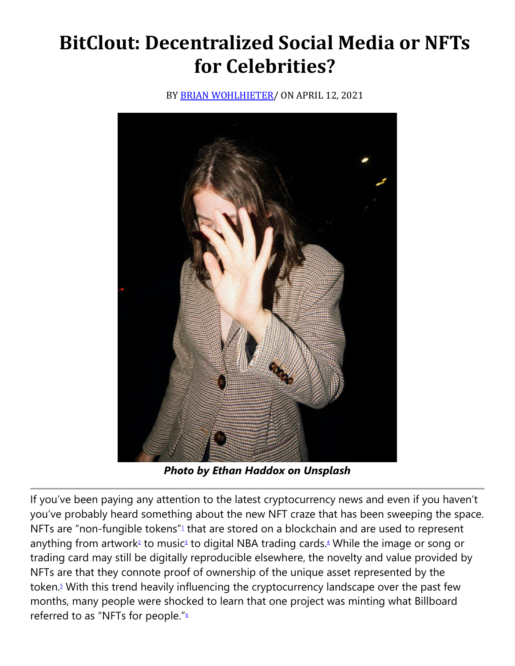# **BitClout: Decentralized Social Media or NFTs for Celebrities?**

BY **BRIAN WOHLHIETER**/ ON APRIL 12, 2021



*Photo by Ethan Haddox on Unsplash*

If you've been paying any attention to the latest cryptocurrency news and even if you haven't you've probably heard something about the new NFT craze that has been sweeping the space. NFTs are ["](https://cardozoaelj.com/2021/04/12/bitclout-decentralized-social-media-or-nfts-for-celebrities/#easy-footnote-bottom-1-6898)non-fungible tokens" $1$  that are stored on a blockchain and are used to represent anything from artwor[k](https://cardozoaelj.com/2021/04/12/bitclout-decentralized-social-media-or-nfts-for-celebrities/#easy-footnote-bottom-2-6898)<sup>2</sup> to musi[c](https://cardozoaelj.com/2021/04/12/bitclout-decentralized-social-media-or-nfts-for-celebrities/#easy-footnote-bottom-3-6898)<sup>3</sup> to digital NBA trading cards[.](https://cardozoaelj.com/2021/04/12/bitclout-decentralized-social-media-or-nfts-for-celebrities/#easy-footnote-bottom-4-6898)<sup>4</sup> While the image or song or trading card may still be digitally reproducible elsewhere, the novelty and value provided by NFTs are that they connote proof of ownership of the unique asset represented by the token[.](https://cardozoaelj.com/2021/04/12/bitclout-decentralized-social-media-or-nfts-for-celebrities/#easy-footnote-bottom-5-6898)<sup>5</sup> With this trend heavily influencing the cryptocurrency landscape over the past few months, many people were shocked to learn that one project was minting what Billboard referred to as ["](https://cardozoaelj.com/2021/04/12/bitclout-decentralized-social-media-or-nfts-for-celebrities/#easy-footnote-bottom-6-6898)NFTs for people."<sup>6</sup>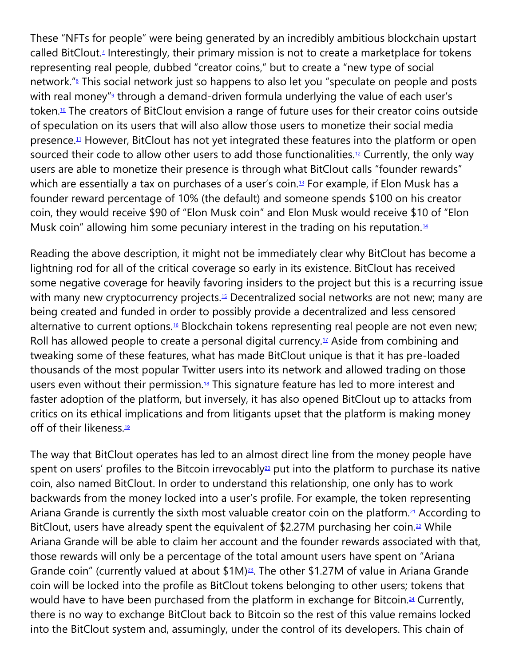These "NFTs for people" were being generated by an incredibly ambitious blockchain upstart called BitClout[.](https://cardozoaelj.com/2021/04/12/bitclout-decentralized-social-media-or-nfts-for-celebrities/#easy-footnote-bottom-7-6898)<sup>7</sup> Interestingly, their primary mission is not to create a marketplace for tokens representing real people, dubbed "creator coins," but to create a "new type of social network.["](https://cardozoaelj.com/2021/04/12/bitclout-decentralized-social-media-or-nfts-for-celebrities/#easy-footnote-bottom-8-6898)<sup>8</sup> This social network just so happens to also let you "speculate on people and posts with real money["](https://cardozoaelj.com/2021/04/12/bitclout-decentralized-social-media-or-nfts-for-celebrities/#easy-footnote-bottom-9-6898)<sup>9</sup> through a demand-driven formula underlying the value of each user's token.<sup>[10](https://cardozoaelj.com/2021/04/12/bitclout-decentralized-social-media-or-nfts-for-celebrities/#easy-footnote-bottom-10-6898)</sup> The creators of BitClout envision a range of future uses for their creator coins outside of speculation on its users that will also allow those users to monetize their social media presence.[11](https://cardozoaelj.com/2021/04/12/bitclout-decentralized-social-media-or-nfts-for-celebrities/#easy-footnote-bottom-11-6898) However, BitClout has not yet integrated these features into the platform or open sourced their code to allow other users to add those functionalities.<sup>[12](https://cardozoaelj.com/2021/04/12/bitclout-decentralized-social-media-or-nfts-for-celebrities/#easy-footnote-bottom-12-6898)</sup> Currently, the only way users are able to monetize their presence is through what BitClout calls "founder rewards" which are essentially a tax on purchases of a user's coin.<sup>[13](https://cardozoaelj.com/2021/04/12/bitclout-decentralized-social-media-or-nfts-for-celebrities/#easy-footnote-bottom-13-6898)</sup> For example, if Elon Musk has a founder reward percentage of 10% (the default) and someone spends \$100 on his creator coin, they would receive \$90 of "Elon Musk coin" and Elon Musk would receive \$10 of "Elon Musk coin" allowing him some pecuniary interest in the trading on his reputation.<sup>[14](https://cardozoaelj.com/2021/04/12/bitclout-decentralized-social-media-or-nfts-for-celebrities/#easy-footnote-bottom-14-6898)</sup>

Reading the above description, it might not be immediately clear why BitClout has become a lightning rod for all of the critical coverage so early in its existence. BitClout has received some negative coverage for heavily favoring insiders to the project but this is a recurring issue with many new cryptocurrency projects.<sup>[15](https://cardozoaelj.com/2021/04/12/bitclout-decentralized-social-media-or-nfts-for-celebrities/#easy-footnote-bottom-15-6898)</sup> Decentralized social networks are not new; many are being created and funded in order to possibly provide a decentralized and less censored alternative to current options.<sup>[16](https://cardozoaelj.com/2021/04/12/bitclout-decentralized-social-media-or-nfts-for-celebrities/#easy-footnote-bottom-16-6898)</sup> Blockchain tokens representing real people are not even new; Roll has allowed people to create a personal digital currency. $17$  Aside from combining and tweaking some of these features, what has made BitClout unique is that it has pre-loaded thousands of the most popular Twitter users into its network and allowed trading on those users even without their permission. $18$  This signature feature has led to more interest and faster adoption of the platform, but inversely, it has also opened BitClout up to attacks from critics on its ethical implications and from litigants upset that the platform is making money off of their likeness.<sup>[19](https://cardozoaelj.com/2021/04/12/bitclout-decentralized-social-media-or-nfts-for-celebrities/#easy-footnote-bottom-19-6898)</sup>

The way that BitClout operates has led to an almost direct line from the money people have spent on users' profiles to the Bitcoin irrevocably<sup>[20](https://cardozoaelj.com/2021/04/12/bitclout-decentralized-social-media-or-nfts-for-celebrities/#easy-footnote-bottom-20-6898)</sup> put into the platform to purchase its native coin, also named BitClout. In order to understand this relationship, one only has to work backwards from the money locked into a user's profile. For example, the token representing Ariana Grande is currently the sixth most valuable creator coin on the platform.<sup>[21](https://cardozoaelj.com/2021/04/12/bitclout-decentralized-social-media-or-nfts-for-celebrities/#easy-footnote-bottom-21-6898)</sup> According to BitClout, users have already spent the equivalent of \$2.27M purchasing her coin.<sup>[22](https://cardozoaelj.com/2021/04/12/bitclout-decentralized-social-media-or-nfts-for-celebrities/#easy-footnote-bottom-22-6898)</sup> While Ariana Grande will be able to claim her account and the founder rewards associated with that, those rewards will only be a percentage of the total amount users have spent on "Ariana Grande coin" (currently valued at about \$1M)<sup>[23](https://cardozoaelj.com/2021/04/12/bitclout-decentralized-social-media-or-nfts-for-celebrities/#easy-footnote-bottom-23-6898)</sup>. The other \$1.27M of value in Ariana Grande coin will be locked into the profile as BitClout tokens belonging to other users; tokens that would have to have been purchased from the platform in exchange for Bitcoin.<sup>[24](https://cardozoaelj.com/2021/04/12/bitclout-decentralized-social-media-or-nfts-for-celebrities/#easy-footnote-bottom-24-6898)</sup> Currently, there is no way to exchange BitClout back to Bitcoin so the rest of this value remains locked into the BitClout system and, assumingly, under the control of its developers. This chain of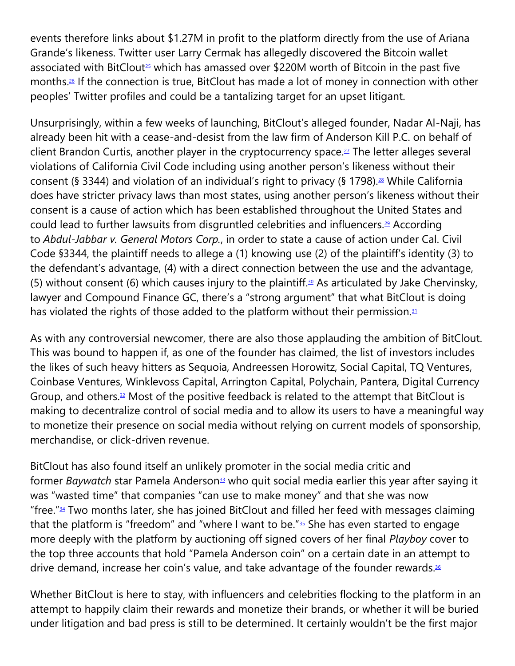events therefore links about \$1.27M in profit to the platform directly from the use of Ariana Grande's likeness. Twitter user Larry Cermak has allegedly discovered the Bitcoin wallet associated with BitClout<sup>[25](https://cardozoaelj.com/2021/04/12/bitclout-decentralized-social-media-or-nfts-for-celebrities/#easy-footnote-bottom-25-6898)</sup> which has amassed over \$220M worth of Bitcoin in the past five months.[26](https://cardozoaelj.com/2021/04/12/bitclout-decentralized-social-media-or-nfts-for-celebrities/#easy-footnote-bottom-26-6898) If the connection is true, BitClout has made a lot of money in connection with other peoples' Twitter profiles and could be a tantalizing target for an upset litigant.

Unsurprisingly, within a few weeks of launching, BitClout's alleged founder, Nadar Al-Naji, has already been hit with a cease-and-desist from the law firm of Anderson Kill P.C. on behalf of client Brandon Curtis, another player in the cryptocurrency space.<sup>[27](https://cardozoaelj.com/2021/04/12/bitclout-decentralized-social-media-or-nfts-for-celebrities/#easy-footnote-bottom-27-6898)</sup> The letter alleges several violations of California Civil Code including using another person's likeness without their consent (§ 3344) and violation of an individual's right to privacy (§ 1798).<sup>[28](https://cardozoaelj.com/2021/04/12/bitclout-decentralized-social-media-or-nfts-for-celebrities/#easy-footnote-bottom-28-6898)</sup> While California does have stricter privacy laws than most states, using another person's likeness without their consent is a cause of action which has been established throughout the United States and could lead to further lawsuits from disgruntled celebrities and influencers.<sup>[29](https://cardozoaelj.com/2021/04/12/bitclout-decentralized-social-media-or-nfts-for-celebrities/#easy-footnote-bottom-29-6898)</sup> According to *Abdul-Jabbar v. General Motors Corp.*, in order to state a cause of action under Cal. Civil Code §3344, the plaintiff needs to allege a (1) knowing use (2) of the plaintiff's identity (3) to the defendant's advantage, (4) with a direct connection between the use and the advantage, (5) without consent (6) which causes injury to the plaintiff.<sup>[30](https://cardozoaelj.com/2021/04/12/bitclout-decentralized-social-media-or-nfts-for-celebrities/#easy-footnote-bottom-30-6898)</sup> As articulated by Jake Chervinsky, lawyer and Compound Finance GC, there's a "strong argument" that what BitClout is doing has violated the rights of those added to the platform without their permission.<sup>[31](https://cardozoaelj.com/2021/04/12/bitclout-decentralized-social-media-or-nfts-for-celebrities/#easy-footnote-bottom-31-6898)</sup>

As with any controversial newcomer, there are also those applauding the ambition of BitClout. This was bound to happen if, as one of the founder has claimed, the list of investors includes the likes of such heavy hitters as Sequoia, Andreessen Horowitz, Social Capital, TQ Ventures, Coinbase Ventures, Winklevoss Capital, Arrington Capital, Polychain, Pantera, Digital Currency Group, and others. $32$  Most of the positive feedback is related to the attempt that BitClout is making to decentralize control of social media and to allow its users to have a meaningful way to monetize their presence on social media without relying on current models of sponsorship, merchandise, or click-driven revenue.

BitClout has also found itself an unlikely promoter in the social media critic and former *Baywatch* star Pamela Anderson<sup>[33](https://cardozoaelj.com/2021/04/12/bitclout-decentralized-social-media-or-nfts-for-celebrities/#easy-footnote-bottom-33-6898)</sup> who quit social media earlier this year after saying it was "wasted time" that companies "can use to make money" and that she was now "free." $34$  Two months later, she has joined BitClout and filled her feed with messages claiming that the platform is "freedom" and "where I want to be." $35$  She has even started to engage more deeply with the platform by auctioning off signed covers of her final *Playboy* cover to the top three accounts that hold "Pamela Anderson coin" on a certain date in an attempt to drive demand, increase her coin's value, and take advantage of the founder rewards.<sup>[36](https://cardozoaelj.com/2021/04/12/bitclout-decentralized-social-media-or-nfts-for-celebrities/#easy-footnote-bottom-36-6898)</sup>

Whether BitClout is here to stay, with influencers and celebrities flocking to the platform in an attempt to happily claim their rewards and monetize their brands, or whether it will be buried under litigation and bad press is still to be determined. It certainly wouldn't be the first major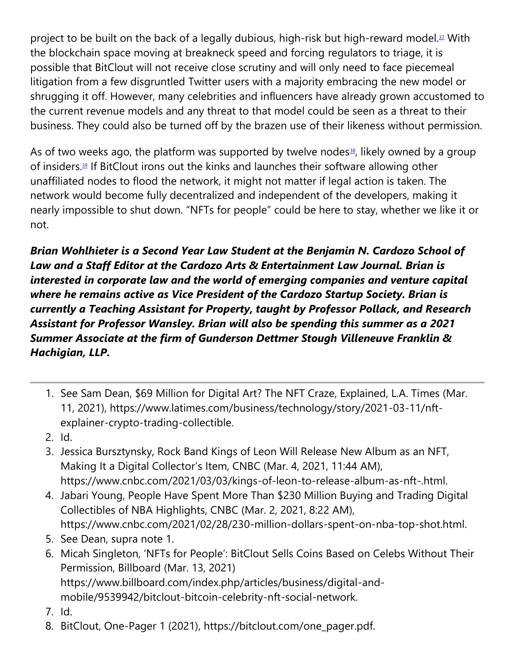project to be built on the back of a legally dubious, high-risk but high-reward model.<sup>[37](https://cardozoaelj.com/2021/04/12/bitclout-decentralized-social-media-or-nfts-for-celebrities/#easy-footnote-bottom-37-6898)</sup> With the blockchain space moving at breakneck speed and forcing regulators to triage, it is possible that BitClout will not receive close scrutiny and will only need to face piecemeal litigation from a few disgruntled Twitter users with a majority embracing the new model or shrugging it off. However, many celebrities and influencers have already grown accustomed to the current revenue models and any threat to that model could be seen as a threat to their business. They could also be turned off by the brazen use of their likeness without permission.

As of two weeks ago, the platform was supported by twelve nodes $\frac{38}{3}$  $\frac{38}{3}$  $\frac{38}{3}$ , likely owned by a group of insiders.<sup>[39](https://cardozoaelj.com/2021/04/12/bitclout-decentralized-social-media-or-nfts-for-celebrities/#easy-footnote-bottom-39-6898)</sup> If BitClout irons out the kinks and launches their software allowing other unaffiliated nodes to flood the network, it might not matter if legal action is taken. The network would become fully decentralized and independent of the developers, making it nearly impossible to shut down. "NFTs for people" could be here to stay, whether we like it or not.

*Brian Wohlhieter is a Second Year Law Student at the Benjamin N. Cardozo School of Law and a Staff Editor at the Cardozo Arts & Entertainment Law Journal. Brian is interested in corporate law and the world of emerging companies and venture capital where he remains active as Vice President of the Cardozo Startup Society. Brian is currently a Teaching Assistant for Property, taught by Professor Pollack, and Research Assistant for Professor Wansley. Brian will also be spending this summer as a 2021 Summer Associate at the firm of Gunderson Dettmer Stough Villeneuve Franklin & Hachigian, LLP.*

- 1. See Sam Dean, \$69 Million for Digital Art? The NFT Craze, Explained, L.A. Times (Mar. 11, 2021), https://www.latimes.com/business/technology/story/2021-03-11/nftexplainer-crypto-trading-collectible.
- 2. Id.
- 3. Jessica Bursztynsky, Rock Band Kings of Leon Will Release New Album as an NFT, Making It a Digital Collector's Item, CNBC (Mar. 4, 2021, 11:44 AM), https://www.cnbc.com/2021/03/03/kings-of-leon-to-release-album-as-nft-.html.
- 4. Jabari Young, People Have Spent More Than \$230 Million Buying and Trading Digital Collectibles of NBA Highlights, CNBC (Mar. 2, 2021, 8:22 AM), https://www.cnbc.com/2021/02/28/230-million-dollars-spent-on-nba-top-shot.html.
- 5. See Dean, supra note 1.
- 6. Micah Singleton, 'NFTs for People': BitClout Sells Coins Based on Celebs Without Their Permission, Billboard (Mar. 13, 2021) https://www.billboard.com/index.php/articles/business/digital-andmobile/9539942/bitclout-bitcoin-celebrity-nft-social-network.
- 7. Id.
- 8. BitClout, One-Pager 1 (2021), https://bitclout.com/one\_pager.pdf.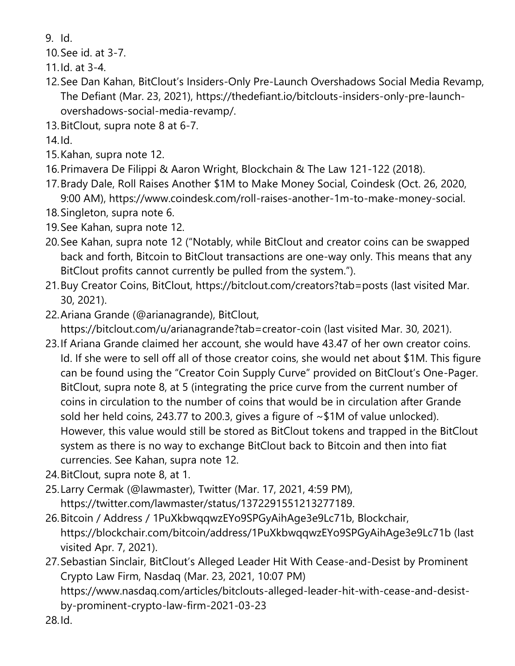- 9. Id.
- 10.See id. at 3-7.
- 11.Id. at 3-4.
- 12.See Dan Kahan, BitClout's Insiders-Only Pre-Launch Overshadows Social Media Revamp, The Defiant (Mar. 23, 2021), https://thedefiant.io/bitclouts-insiders-only-pre-launchovershadows-social-media-revamp/.
- 13.BitClout, supra note 8 at 6-7.

14.Id.

- 15.Kahan, supra note 12.
- 16.Primavera De Filippi & Aaron Wright, Blockchain & The Law 121-122 (2018).
- 17.Brady Dale, Roll Raises Another \$1M to Make Money Social, Coindesk (Oct. 26, 2020, 9:00 AM), https://www.coindesk.com/roll-raises-another-1m-to-make-money-social.
- 18.Singleton, supra note 6.
- 19.See Kahan, supra note 12.
- 20.See Kahan, supra note 12 ("Notably, while BitClout and creator coins can be swapped back and forth, Bitcoin to BitClout transactions are one-way only. This means that any BitClout profits cannot currently be pulled from the system.").
- 21.Buy Creator Coins, BitClout, https://bitclout.com/creators?tab=posts (last visited Mar. 30, 2021).
- 22.Ariana Grande (@arianagrande), BitClout, https://bitclout.com/u/arianagrande?tab=creator-coin (last visited Mar. 30, 2021).
- 23.If Ariana Grande claimed her account, she would have 43.47 of her own creator coins. Id. If she were to sell off all of those creator coins, she would net about \$1M. This figure can be found using the "Creator Coin Supply Curve" provided on BitClout's One-Pager. BitClout, supra note 8, at 5 (integrating the price curve from the current number of coins in circulation to the number of coins that would be in circulation after Grande sold her held coins, 243.77 to 200.3, gives a figure of ~\$1M of value unlocked). However, this value would still be stored as BitClout tokens and trapped in the BitClout system as there is no way to exchange BitClout back to Bitcoin and then into fiat currencies. See Kahan, supra note 12.
- 24.BitClout, supra note 8, at 1.
- 25.Larry Cermak (@lawmaster), Twitter (Mar. 17, 2021, 4:59 PM), https://twitter.com/lawmaster/status/1372291551213277189.
- 26.Bitcoin / Address / 1PuXkbwqqwzEYo9SPGyAihAge3e9Lc71b, Blockchair, https://blockchair.com/bitcoin/address/1PuXkbwqqwzEYo9SPGyAihAge3e9Lc71b (last visited Apr. 7, 2021).
- 27.Sebastian Sinclair, BitClout's Alleged Leader Hit With Cease-and-Desist by Prominent Crypto Law Firm, Nasdaq (Mar. 23, 2021, 10:07 PM) https://www.nasdaq.com/articles/bitclouts-alleged-leader-hit-with-cease-and-desistby-prominent-crypto-law-firm-2021-03-23 28.Id.